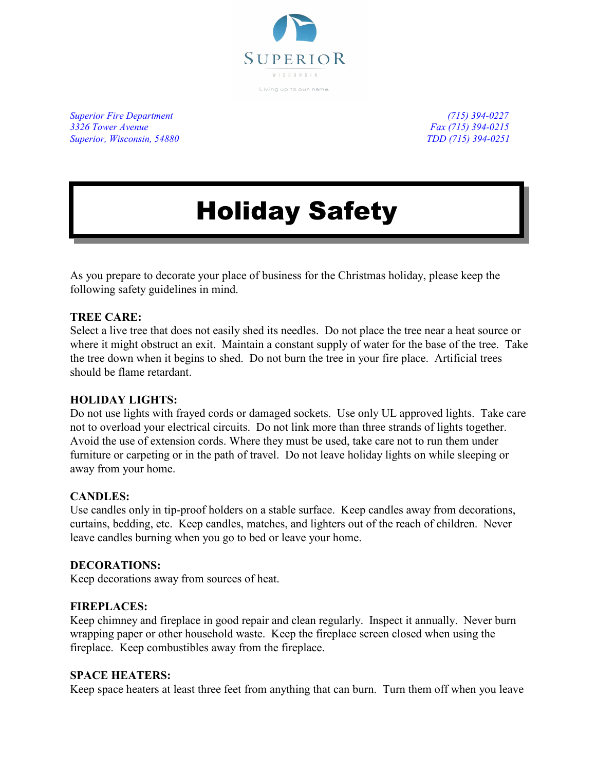

*Superior Fire Department (715) 394-0227 3326 Tower Avenue Fax (715) 394-0215 Superior, Wisconsin, 54880 TDD (715) 394-0251*

# Holiday Safety

As you prepare to decorate your place of business for the Christmas holiday, please keep the following safety guidelines in mind.

# **TREE CARE:**

Select a live tree that does not easily shed its needles. Do not place the tree near a heat source or where it might obstruct an exit. Maintain a constant supply of water for the base of the tree. Take the tree down when it begins to shed. Do not burn the tree in your fire place. Artificial trees should be flame retardant.

# **HOLIDAY LIGHTS:**

Do not use lights with frayed cords or damaged sockets. Use only UL approved lights. Take care not to overload your electrical circuits. Do not link more than three strands of lights together. Avoid the use of extension cords. Where they must be used, take care not to run them under furniture or carpeting or in the path of travel. Do not leave holiday lights on while sleeping or away from your home.

# **CANDLES:**

Use candles only in tip-proof holders on a stable surface. Keep candles away from decorations, curtains, bedding, etc. Keep candles, matches, and lighters out of the reach of children. Never leave candles burning when you go to bed or leave your home.

# **DECORATIONS:**

Keep decorations away from sources of heat.

# **FIREPLACES:**

Keep chimney and fireplace in good repair and clean regularly. Inspect it annually. Never burn wrapping paper or other household waste. Keep the fireplace screen closed when using the fireplace. Keep combustibles away from the fireplace.

# **SPACE HEATERS:**

Keep space heaters at least three feet from anything that can burn. Turn them off when you leave